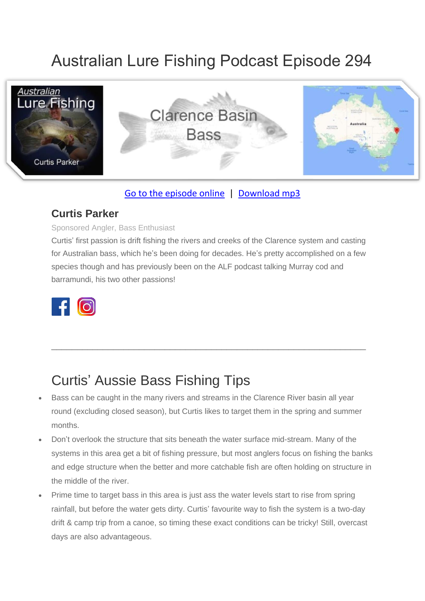# Australian Lure Fishing Podcast Episode 294



### [Go to the episode online](https://doclures.com/clarence-bass-curtis-parker/) | [Download mp3](https://traffic.libsyn.com/secure/doclures/clarence-bass-curtis-parker.mp3)

### **Curtis Parker**

#### Sponsored Angler, Bass Enthusiast

Curtis' first passion is drift fishing the rivers and creeks of the Clarence system and casting for Australian bass, which he's been doing for decades. He's pretty accomplished on a few species though and has previously been on the ALF podcast talking Murray cod and barramundi, his two other passions!

 $\_$  , and the set of the set of the set of the set of the set of the set of the set of the set of the set of the set of the set of the set of the set of the set of the set of the set of the set of the set of the set of th



## Curtis' Aussie Bass Fishing Tips

- Bass can be caught in the many rivers and streams in the Clarence River basin all year round (excluding closed season), but Curtis likes to target them in the spring and summer months.
- Don't overlook the structure that sits beneath the water surface mid-stream. Many of the systems in this area get a bit of fishing pressure, but most anglers focus on fishing the banks and edge structure when the better and more catchable fish are often holding on structure in the middle of the river.
- Prime time to target bass in this area is just ass the water levels start to rise from spring rainfall, but before the water gets dirty. Curtis' favourite way to fish the system is a two-day drift & camp trip from a canoe, so timing these exact conditions can be tricky! Still, overcast days are also advantageous.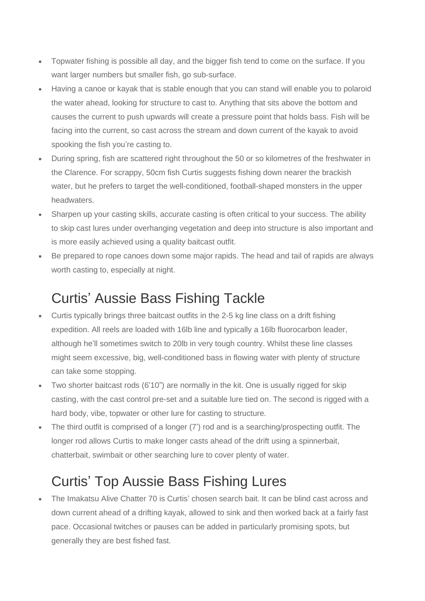- Topwater fishing is possible all day, and the bigger fish tend to come on the surface. If you want larger numbers but smaller fish, go sub-surface.
- Having a canoe or kayak that is stable enough that you can stand will enable you to polaroid the water ahead, looking for structure to cast to. Anything that sits above the bottom and causes the current to push upwards will create a pressure point that holds bass. Fish will be facing into the current, so cast across the stream and down current of the kayak to avoid spooking the fish you're casting to.
- During spring, fish are scattered right throughout the 50 or so kilometres of the freshwater in the Clarence. For scrappy, 50cm fish Curtis suggests fishing down nearer the brackish water, but he prefers to target the well-conditioned, football-shaped monsters in the upper headwaters.
- Sharpen up your casting skills, accurate casting is often critical to your success. The ability to skip cast lures under overhanging vegetation and deep into structure is also important and is more easily achieved using a quality baitcast outfit.
- Be prepared to rope canoes down some major rapids. The head and tail of rapids are always worth casting to, especially at night.

## Curtis' Aussie Bass Fishing Tackle

- Curtis typically brings three baitcast outfits in the 2-5 kg line class on a drift fishing expedition. All reels are loaded with 16lb line and typically a 16lb fluorocarbon leader, although he'll sometimes switch to 20lb in very tough country. Whilst these line classes might seem excessive, big, well-conditioned bass in flowing water with plenty of structure can take some stopping.
- Two shorter baitcast rods (6'10") are normally in the kit. One is usually rigged for skip casting, with the cast control pre-set and a suitable lure tied on. The second is rigged with a hard body, vibe, topwater or other lure for casting to structure.
- The third outfit is comprised of a longer (7') rod and is a searching/prospecting outfit. The longer rod allows Curtis to make longer casts ahead of the drift using a spinnerbait, chatterbait, swimbait or other searching lure to cover plenty of water.

## Curtis' Top Aussie Bass Fishing Lures

• The Imakatsu Alive Chatter 70 is Curtis' chosen search bait. It can be blind cast across and down current ahead of a drifting kayak, allowed to sink and then worked back at a fairly fast pace. Occasional twitches or pauses can be added in particularly promising spots, but generally they are best fished fast.